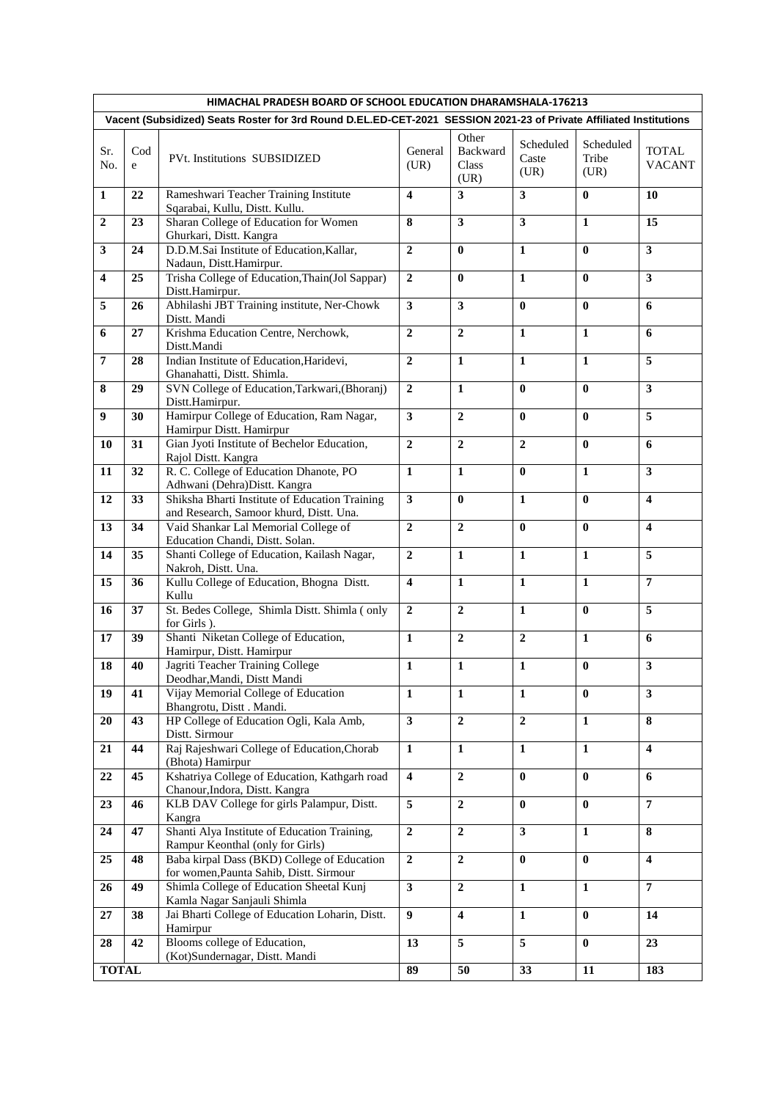| HIMACHAL PRADESH BOARD OF SCHOOL EDUCATION DHARAMSHALA-176213                                                      |          |                                                                                           |                         |                                    |                            |                            |                               |  |  |  |  |  |
|--------------------------------------------------------------------------------------------------------------------|----------|-------------------------------------------------------------------------------------------|-------------------------|------------------------------------|----------------------------|----------------------------|-------------------------------|--|--|--|--|--|
| Vacent (Subsidized) Seats Roster for 3rd Round D.EL.ED-CET-2021 SESSION 2021-23 of Private Affiliated Institutions |          |                                                                                           |                         |                                    |                            |                            |                               |  |  |  |  |  |
| Sr.<br>No.                                                                                                         | Cod<br>e | PVt. Institutions SUBSIDIZED                                                              | General<br>(UR)         | Other<br>Backward<br>Class<br>(UR) | Scheduled<br>Caste<br>(UR) | Scheduled<br>Tribe<br>(UR) | <b>TOTAL</b><br><b>VACANT</b> |  |  |  |  |  |
| $\mathbf{1}$                                                                                                       | 22       | Rameshwari Teacher Training Institute<br>Sqarabai, Kullu, Distt. Kullu.                   | $\overline{\mathbf{4}}$ | $\overline{\mathbf{3}}$            | $\overline{\mathbf{3}}$    | $\mathbf{0}$               | 10                            |  |  |  |  |  |
| $\boldsymbol{2}$                                                                                                   | 23       | Sharan College of Education for Women<br>Ghurkari, Distt. Kangra                          | 8                       | $\mathbf{3}$                       | $\overline{\mathbf{3}}$    | $\mathbf{1}$               | 15                            |  |  |  |  |  |
| 3                                                                                                                  | 24       | D.D.M.Sai Institute of Education, Kallar,<br>Nadaun, Distt.Hamirpur.                      | $\overline{2}$          | $\mathbf{0}$                       | $\mathbf{1}$               | $\bf{0}$                   | $\mathbf{3}$                  |  |  |  |  |  |
| $\overline{\mathbf{4}}$                                                                                            | 25       | Trisha College of Education, Thain(Jol Sappar)<br>Distt.Hamirpur.                         | $\overline{2}$          | $\bf{0}$                           | $\mathbf{1}$               | $\bf{0}$                   | 3                             |  |  |  |  |  |
| 5                                                                                                                  | 26       | Abhilashi JBT Training institute, Ner-Chowk<br>Distt. Mandi                               | $\overline{\mathbf{3}}$ | $\mathbf{3}$                       | $\mathbf{0}$               | $\mathbf{0}$               | 6                             |  |  |  |  |  |
| 6                                                                                                                  | 27       | Krishma Education Centre, Nerchowk,<br>Distt.Mandi                                        | $\mathbf{2}$            | $\overline{2}$                     | 1                          | $\mathbf{1}$               | 6                             |  |  |  |  |  |
| $\overline{7}$                                                                                                     | 28       | Indian Institute of Education, Haridevi,<br>Ghanahatti, Distt. Shimla.                    | $\overline{2}$          | $\mathbf{1}$                       | $\mathbf{1}$               | $\mathbf{1}$               | 5                             |  |  |  |  |  |
| 8                                                                                                                  | 29       | SVN College of Education, Tarkwari, (Bhoranj)<br>Distt.Hamirpur.                          | $\overline{2}$          | $\mathbf{1}$                       | $\mathbf{0}$               | $\bf{0}$                   | $\mathbf{3}$                  |  |  |  |  |  |
| 9                                                                                                                  | 30       | Hamirpur College of Education, Ram Nagar,<br>Hamirpur Distt. Hamirpur                     | $\overline{\mathbf{3}}$ | $\overline{2}$                     | $\bf{0}$                   | $\bf{0}$                   | 5                             |  |  |  |  |  |
| 10                                                                                                                 | 31       | Gian Jyoti Institute of Bechelor Education,<br>Rajol Distt. Kangra                        | $\overline{2}$          | $\overline{2}$                     | $\overline{2}$             | $\mathbf{0}$               | 6                             |  |  |  |  |  |
| 11                                                                                                                 | 32       | R. C. College of Education Dhanote, PO<br>Adhwani (Dehra)Distt. Kangra                    | $\mathbf{1}$            | $\mathbf{1}$                       | $\bf{0}$                   | $\mathbf{1}$               | $\mathbf{3}$                  |  |  |  |  |  |
| 12                                                                                                                 | 33       | Shiksha Bharti Institute of Education Training<br>and Research, Samoor khurd, Distt. Una. | $\overline{\mathbf{3}}$ | $\mathbf{0}$                       | $\mathbf{1}$               | $\mathbf{0}$               | 4                             |  |  |  |  |  |
| 13                                                                                                                 | 34       | Vaid Shankar Lal Memorial College of<br>Education Chandi, Distt. Solan.                   | $\overline{2}$          | $\overline{2}$                     | $\bf{0}$                   | $\bf{0}$                   | $\overline{\mathbf{4}}$       |  |  |  |  |  |
| 14                                                                                                                 | 35       | Shanti College of Education, Kailash Nagar,<br>Nakroh, Distt. Una.                        | $\overline{2}$          | $\mathbf{1}$                       | $\mathbf{1}$               | 1                          | 5                             |  |  |  |  |  |
| 15                                                                                                                 | 36       | Kullu College of Education, Bhogna Distt.<br>Kullu                                        | $\overline{\mathbf{4}}$ | $\mathbf{1}$                       | $\mathbf{1}$               | $\mathbf{1}$               | $\overline{7}$                |  |  |  |  |  |
| 16                                                                                                                 | 37       | St. Bedes College, Shimla Distt. Shimla (only<br>for Girls).                              | $\mathbf{2}$            | $\overline{2}$                     | $\mathbf{1}$               | $\bf{0}$                   | 5                             |  |  |  |  |  |
| 17                                                                                                                 | 39       | Shanti Niketan College of Education,<br>Hamirpur, Distt. Hamirpur                         | $\mathbf{1}$            | $\mathbf{2}$                       | $\overline{2}$             | $\mathbf{1}$               | 6                             |  |  |  |  |  |
| 18                                                                                                                 | 40       | Jagriti Teacher Training College<br>Deodhar, Mandi, Distt Mandi                           | $\mathbf{1}$            | $\mathbf{1}$                       | $\mathbf{1}$               | $\bf{0}$                   | 3                             |  |  |  |  |  |
| 19                                                                                                                 | 41       | Vijay Memorial College of Education<br>Bhangrotu, Distt. Mandi.                           | $\mathbf{1}$            | $\mathbf{1}$                       | $\mathbf{1}$               | $\bf{0}$                   | $\mathbf{3}$                  |  |  |  |  |  |
| 20                                                                                                                 | 43       | HP College of Education Ogli, Kala Amb,<br>Distt. Sirmour                                 | $\overline{\mathbf{3}}$ | $\overline{2}$                     | $\boldsymbol{2}$           | $\mathbf{1}$               | 8                             |  |  |  |  |  |
| 21                                                                                                                 | 44       | Raj Rajeshwari College of Education, Chorab<br>(Bhota) Hamirpur                           | $\mathbf{1}$            | $\mathbf{1}$                       | $\mathbf{1}$               | $\mathbf{1}$               | $\overline{\mathbf{4}}$       |  |  |  |  |  |
| 22                                                                                                                 | 45       | Kshatriya College of Education, Kathgarh road<br>Chanour, Indora, Distt. Kangra           | $\boldsymbol{4}$        | $\mathbf 2$                        | $\bf{0}$                   | $\bf{0}$                   | 6                             |  |  |  |  |  |
| 23                                                                                                                 | 46       | KLB DAV College for girls Palampur, Distt.<br>Kangra                                      | $\overline{5}$          | $\boldsymbol{2}$                   | $\bf{0}$                   | $\bf{0}$                   | $\overline{7}$                |  |  |  |  |  |
| 24                                                                                                                 | 47       | Shanti Alya Institute of Education Training,<br>Rampur Keonthal (only for Girls)          | $\overline{2}$          | $\boldsymbol{2}$                   | $\mathbf{3}$               | $\mathbf{1}$               | 8                             |  |  |  |  |  |
| 25                                                                                                                 | 48       | Baba kirpal Dass (BKD) College of Education<br>for women, Paunta Sahib, Distt. Sirmour    | $\overline{2}$          | $\overline{2}$                     | $\mathbf{0}$               | $\bf{0}$                   | $\overline{\mathbf{4}}$       |  |  |  |  |  |
| 26                                                                                                                 | 49       | Shimla College of Education Sheetal Kunj<br>Kamla Nagar Sanjauli Shimla                   | $\mathbf{3}$            | $\mathbf 2$                        | 1                          | 1                          | $\overline{7}$                |  |  |  |  |  |
| 27                                                                                                                 | 38       | Jai Bharti College of Education Loharin, Distt.<br>Hamirpur                               | 9                       | $\overline{\mathbf{4}}$            | $\mathbf{1}$               | $\bf{0}$                   | 14                            |  |  |  |  |  |
| 28                                                                                                                 | 42       | Blooms college of Education,<br>(Kot)Sundernagar, Distt. Mandi                            | 13                      | 5                                  | $\overline{5}$             | $\pmb{0}$                  | 23                            |  |  |  |  |  |
| <b>TOTAL</b>                                                                                                       |          |                                                                                           | 89                      | 50                                 | 33                         | 11                         | 183                           |  |  |  |  |  |